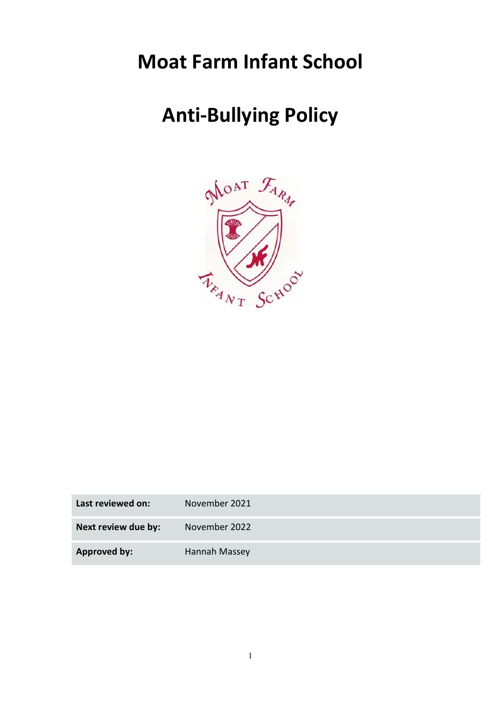## Moat Farm Infant School

# Anti-Bullying Policy



| Last reviewed on:   | November 2021 |
|---------------------|---------------|
| Next review due by: | November 2022 |
| <b>Approved by:</b> | Hannah Massey |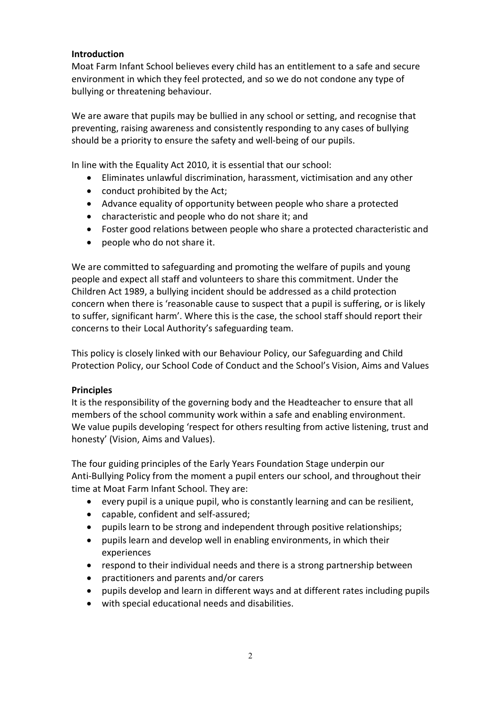## **Introduction**

Moat Farm Infant School believes every child has an entitlement to a safe and secure environment in which they feel protected, and so we do not condone any type of bullying or threatening behaviour.

We are aware that pupils may be bullied in any school or setting, and recognise that preventing, raising awareness and consistently responding to any cases of bullying should be a priority to ensure the safety and well-being of our pupils.

In line with the Equality Act 2010, it is essential that our school:

- Eliminates unlawful discrimination, harassment, victimisation and any other
- conduct prohibited by the Act;
- Advance equality of opportunity between people who share a protected
- characteristic and people who do not share it; and
- Foster good relations between people who share a protected characteristic and
- people who do not share it.

We are committed to safeguarding and promoting the welfare of pupils and young people and expect all staff and volunteers to share this commitment. Under the Children Act 1989, a bullying incident should be addressed as a child protection concern when there is 'reasonable cause to suspect that a pupil is suffering, or is likely to suffer, significant harm'. Where this is the case, the school staff should report their concerns to their Local Authority's safeguarding team.

This policy is closely linked with our Behaviour Policy, our Safeguarding and Child Protection Policy, our School Code of Conduct and the School's Vision, Aims and Values

#### Principles

It is the responsibility of the governing body and the Headteacher to ensure that all members of the school community work within a safe and enabling environment. We value pupils developing 'respect for others resulting from active listening, trust and honesty' (Vision, Aims and Values).

The four guiding principles of the Early Years Foundation Stage underpin our Anti-Bullying Policy from the moment a pupil enters our school, and throughout their time at Moat Farm Infant School. They are:

- every pupil is a unique pupil, who is constantly learning and can be resilient,
- capable, confident and self-assured;
- pupils learn to be strong and independent through positive relationships;
- pupils learn and develop well in enabling environments, in which their experiences
- respond to their individual needs and there is a strong partnership between
- practitioners and parents and/or carers
- pupils develop and learn in different ways and at different rates including pupils
- with special educational needs and disabilities.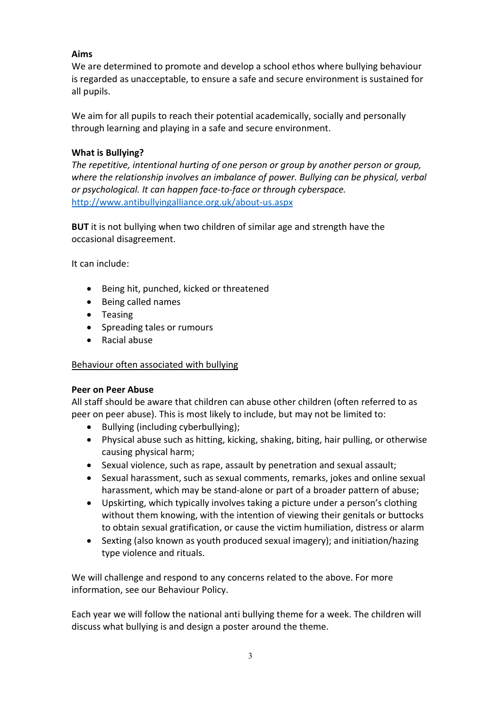## Aims

We are determined to promote and develop a school ethos where bullying behaviour is regarded as unacceptable, to ensure a safe and secure environment is sustained for all pupils.

We aim for all pupils to reach their potential academically, socially and personally through learning and playing in a safe and secure environment.

## What is Bullying?

The repetitive, intentional hurting of one person or group by another person or group, where the relationship involves an imbalance of power. Bullying can be physical, verbal or psychological. It can happen face-to-face or through cyberspace. http://www.antibullyingalliance.org.uk/about-us.aspx

BUT it is not bullying when two children of similar age and strength have the occasional disagreement.

It can include:

- Being hit, punched, kicked or threatened
- Being called names
- Teasing
- Spreading tales or rumours
- Racial abuse

## Behaviour often associated with bullying

## Peer on Peer Abuse

All staff should be aware that children can abuse other children (often referred to as peer on peer abuse). This is most likely to include, but may not be limited to:

- Bullying (including cyberbullying);
- Physical abuse such as hitting, kicking, shaking, biting, hair pulling, or otherwise causing physical harm;
- Sexual violence, such as rape, assault by penetration and sexual assault;
- Sexual harassment, such as sexual comments, remarks, jokes and online sexual harassment, which may be stand-alone or part of a broader pattern of abuse;
- Upskirting, which typically involves taking a picture under a person's clothing without them knowing, with the intention of viewing their genitals or buttocks to obtain sexual gratification, or cause the victim humiliation, distress or alarm
- Sexting (also known as youth produced sexual imagery); and initiation/hazing type violence and rituals.

We will challenge and respond to any concerns related to the above. For more information, see our Behaviour Policy.

Each year we will follow the national anti bullying theme for a week. The children will discuss what bullying is and design a poster around the theme.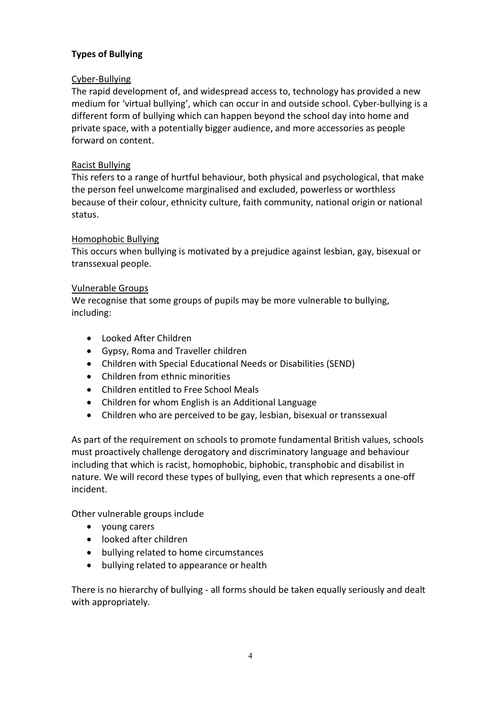## Types of Bullying

## Cyber-Bullying

The rapid development of, and widespread access to, technology has provided a new medium for 'virtual bullying', which can occur in and outside school. Cyber-bullying is a different form of bullying which can happen beyond the school day into home and private space, with a potentially bigger audience, and more accessories as people forward on content.

## Racist Bullying

This refers to a range of hurtful behaviour, both physical and psychological, that make the person feel unwelcome marginalised and excluded, powerless or worthless because of their colour, ethnicity culture, faith community, national origin or national status.

## Homophobic Bullying

This occurs when bullying is motivated by a prejudice against lesbian, gay, bisexual or transsexual people.

#### Vulnerable Groups

We recognise that some groups of pupils may be more vulnerable to bullying, including:

- Looked After Children
- Gypsy, Roma and Traveller children
- Children with Special Educational Needs or Disabilities (SEND)
- Children from ethnic minorities
- Children entitled to Free School Meals
- Children for whom English is an Additional Language
- Children who are perceived to be gay, lesbian, bisexual or transsexual

As part of the requirement on schools to promote fundamental British values, schools must proactively challenge derogatory and discriminatory language and behaviour including that which is racist, homophobic, biphobic, transphobic and disabilist in nature. We will record these types of bullying, even that which represents a one-off incident.

Other vulnerable groups include

- young carers
- looked after children
- bullying related to home circumstances
- bullying related to appearance or health

There is no hierarchy of bullying - all forms should be taken equally seriously and dealt with appropriately.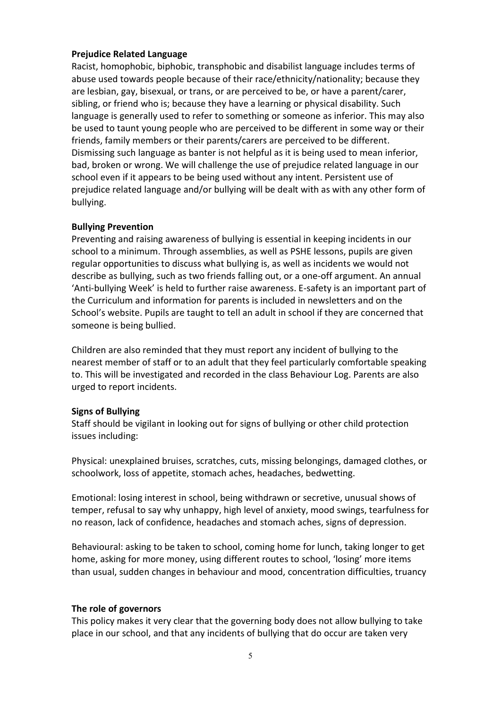#### Prejudice Related Language

Racist, homophobic, biphobic, transphobic and disabilist language includes terms of abuse used towards people because of their race/ethnicity/nationality; because they are lesbian, gay, bisexual, or trans, or are perceived to be, or have a parent/carer, sibling, or friend who is; because they have a learning or physical disability. Such language is generally used to refer to something or someone as inferior. This may also be used to taunt young people who are perceived to be different in some way or their friends, family members or their parents/carers are perceived to be different. Dismissing such language as banter is not helpful as it is being used to mean inferior, bad, broken or wrong. We will challenge the use of prejudice related language in our school even if it appears to be being used without any intent. Persistent use of prejudice related language and/or bullying will be dealt with as with any other form of bullying.

#### Bullying Prevention

Preventing and raising awareness of bullying is essential in keeping incidents in our school to a minimum. Through assemblies, as well as PSHE lessons, pupils are given regular opportunities to discuss what bullying is, as well as incidents we would not describe as bullying, such as two friends falling out, or a one-off argument. An annual 'Anti-bullying Week' is held to further raise awareness. E-safety is an important part of the Curriculum and information for parents is included in newsletters and on the School's website. Pupils are taught to tell an adult in school if they are concerned that someone is being bullied.

Children are also reminded that they must report any incident of bullying to the nearest member of staff or to an adult that they feel particularly comfortable speaking to. This will be investigated and recorded in the class Behaviour Log. Parents are also urged to report incidents.

#### Signs of Bullying

Staff should be vigilant in looking out for signs of bullying or other child protection issues including:

Physical: unexplained bruises, scratches, cuts, missing belongings, damaged clothes, or schoolwork, loss of appetite, stomach aches, headaches, bedwetting.

Emotional: losing interest in school, being withdrawn or secretive, unusual shows of temper, refusal to say why unhappy, high level of anxiety, mood swings, tearfulness for no reason, lack of confidence, headaches and stomach aches, signs of depression.

Behavioural: asking to be taken to school, coming home for lunch, taking longer to get home, asking for more money, using different routes to school, 'losing' more items than usual, sudden changes in behaviour and mood, concentration difficulties, truancy

#### The role of governors

This policy makes it very clear that the governing body does not allow bullying to take place in our school, and that any incidents of bullying that do occur are taken very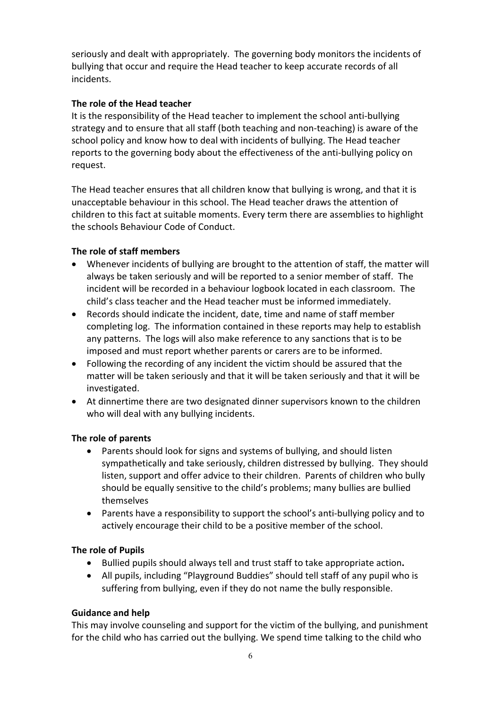seriously and dealt with appropriately. The governing body monitors the incidents of bullying that occur and require the Head teacher to keep accurate records of all incidents.

## The role of the Head teacher

It is the responsibility of the Head teacher to implement the school anti-bullying strategy and to ensure that all staff (both teaching and non-teaching) is aware of the school policy and know how to deal with incidents of bullying. The Head teacher reports to the governing body about the effectiveness of the anti-bullying policy on request.

The Head teacher ensures that all children know that bullying is wrong, and that it is unacceptable behaviour in this school. The Head teacher draws the attention of children to this fact at suitable moments. Every term there are assemblies to highlight the schools Behaviour Code of Conduct.

## The role of staff members

- Whenever incidents of bullying are brought to the attention of staff, the matter will always be taken seriously and will be reported to a senior member of staff. The incident will be recorded in a behaviour logbook located in each classroom. The child's class teacher and the Head teacher must be informed immediately.
- Records should indicate the incident, date, time and name of staff member completing log. The information contained in these reports may help to establish any patterns. The logs will also make reference to any sanctions that is to be imposed and must report whether parents or carers are to be informed.
- Following the recording of any incident the victim should be assured that the matter will be taken seriously and that it will be taken seriously and that it will be investigated.
- At dinnertime there are two designated dinner supervisors known to the children who will deal with any bullying incidents.

## The role of parents

- Parents should look for signs and systems of bullying, and should listen sympathetically and take seriously, children distressed by bullying. They should listen, support and offer advice to their children. Parents of children who bully should be equally sensitive to the child's problems; many bullies are bullied themselves
- Parents have a responsibility to support the school's anti-bullying policy and to actively encourage their child to be a positive member of the school.

#### The role of Pupils

- Bullied pupils should always tell and trust staff to take appropriate action.
- All pupils, including "Playground Buddies" should tell staff of any pupil who is suffering from bullying, even if they do not name the bully responsible.

#### Guidance and help

This may involve counseling and support for the victim of the bullying, and punishment for the child who has carried out the bullying. We spend time talking to the child who